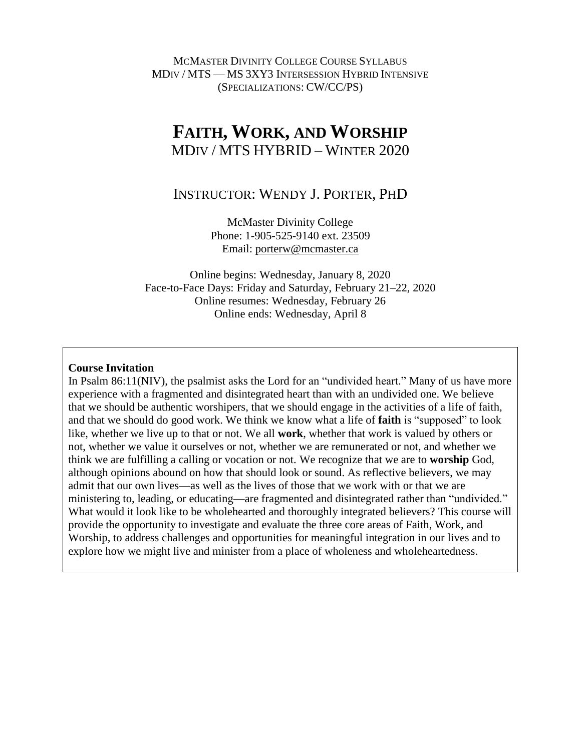MCMASTER DIVINITY COLLEGE COURSE SYLLABUS MDIV / MTS — MS 3XY3 INTERSESSION HYBRID INTENSIVE (SPECIALIZATIONS: CW/CC/PS)

# **FAITH, WORK, AND WORSHIP** MDIV / MTS HYBRID – WINTER 2020

# INSTRUCTOR: WENDY J. PORTER, PHD

McMaster Divinity College Phone: 1-905-525-9140 ext. 23509 Email: [porterw@mcmaster.ca](mailto:porterw@mcmaster.ca)

Online begins: Wednesday, January 8, 2020 Face-to-Face Days: Friday and Saturday, February 21–22, 2020 Online resumes: Wednesday, February 26 Online ends: Wednesday, April 8

#### **Course Invitation**

In Psalm 86:11(NIV), the psalmist asks the Lord for an "undivided heart." Many of us have more experience with a fragmented and disintegrated heart than with an undivided one. We believe that we should be authentic worshipers, that we should engage in the activities of a life of faith, and that we should do good work. We think we know what a life of **faith** is "supposed" to look like, whether we live up to that or not. We all **work**, whether that work is valued by others or not, whether we value it ourselves or not, whether we are remunerated or not, and whether we think we are fulfilling a calling or vocation or not. We recognize that we are to **worship** God, although opinions abound on how that should look or sound. As reflective believers, we may admit that our own lives—as well as the lives of those that we work with or that we are ministering to, leading, or educating—are fragmented and disintegrated rather than "undivided." What would it look like to be wholehearted and thoroughly integrated believers? This course will provide the opportunity to investigate and evaluate the three core areas of Faith, Work, and Worship, to address challenges and opportunities for meaningful integration in our lives and to explore how we might live and minister from a place of wholeness and wholeheartedness.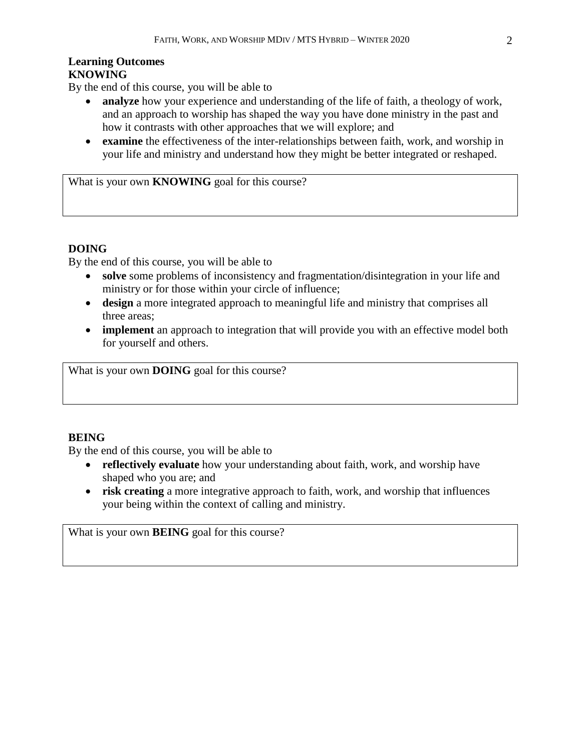#### **Learning Outcomes KNOWING**

By the end of this course, you will be able to

- **analyze** how your experience and understanding of the life of faith, a theology of work, and an approach to worship has shaped the way you have done ministry in the past and how it contrasts with other approaches that we will explore; and
- **examine** the effectiveness of the inter-relationships between faith, work, and worship in your life and ministry and understand how they might be better integrated or reshaped.

What is your own **KNOWING** goal for this course?

## **DOING**

By the end of this course, you will be able to

- **solve** some problems of inconsistency and fragmentation/disintegration in your life and ministry or for those within your circle of influence;
- **design** a more integrated approach to meaningful life and ministry that comprises all three areas;
- **implement** an approach to integration that will provide you with an effective model both for yourself and others.

What is your own **DOING** goal for this course?

# **BEING**

By the end of this course, you will be able to

- **reflectively evaluate** how your understanding about faith, work, and worship have shaped who you are; and
- **risk creating** a more integrative approach to faith, work, and worship that influences your being within the context of calling and ministry.

What is your own **BEING** goal for this course?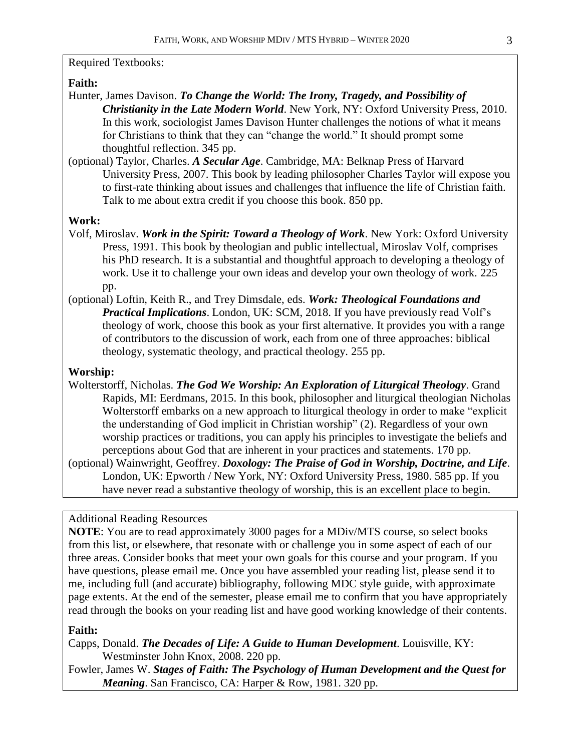## Required Textbooks:

### **Faith:**

- Hunter, James Davison. *To Change the World: The Irony, Tragedy, and Possibility of Christianity in the Late Modern World*. New York, NY: Oxford University Press, 2010. In this work, sociologist James Davison Hunter challenges the notions of what it means for Christians to think that they can "change the world." It should prompt some thoughtful reflection. 345 pp.
- (optional) Taylor, Charles. *A Secular Age*. Cambridge, MA: Belknap Press of Harvard University Press, 2007. This book by leading philosopher Charles Taylor will expose you to first-rate thinking about issues and challenges that influence the life of Christian faith. Talk to me about extra credit if you choose this book. 850 pp.

#### **Work:**

- Volf, Miroslav. *Work in the Spirit: Toward a Theology of Work*. New York: Oxford University Press, 1991. This book by theologian and public intellectual, Miroslav Volf, comprises his PhD research. It is a substantial and thoughtful approach to developing a theology of work. Use it to challenge your own ideas and develop your own theology of work. 225 pp.
- (optional) Loftin, Keith R., and Trey Dimsdale, eds. *Work: Theological Foundations and Practical Implications*. London, UK: SCM, 2018. If you have previously read Volf's theology of work, choose this book as your first alternative. It provides you with a range of contributors to the discussion of work, each from one of three approaches: biblical theology, systematic theology, and practical theology. 255 pp.

### **Worship:**

- Wolterstorff, Nicholas. *The God We Worship: An Exploration of Liturgical Theology*. Grand Rapids, MI: Eerdmans, 2015. In this book, philosopher and liturgical theologian Nicholas Wolterstorff embarks on a new approach to liturgical theology in order to make "explicit the understanding of God implicit in Christian worship" (2). Regardless of your own worship practices or traditions, you can apply his principles to investigate the beliefs and perceptions about God that are inherent in your practices and statements. 170 pp.
- (optional) Wainwright, Geoffrey. *Doxology: The Praise of God in Worship, Doctrine, and Life*. London, UK: Epworth / New York, NY: Oxford University Press, 1980. 585 pp. If you have never read a substantive theology of worship, this is an excellent place to begin.

### Additional Reading Resources

**NOTE**: You are to read approximately 3000 pages for a MDiv/MTS course, so select books from this list, or elsewhere, that resonate with or challenge you in some aspect of each of our three areas. Consider books that meet your own goals for this course and your program. If you have questions, please email me. Once you have assembled your reading list, please send it to me, including full (and accurate) bibliography, following MDC style guide, with approximate page extents. At the end of the semester, please email me to confirm that you have appropriately read through the books on your reading list and have good working knowledge of their contents.

#### **Faith:**

Capps, Donald. *The Decades of Life: A Guide to Human Development*. Louisville, KY: Westminster John Knox, 2008. 220 pp.

Fowler, James W. *Stages of Faith: The Psychology of Human Development and the Quest for Meaning*. San Francisco, CA: Harper & Row, 1981. 320 pp.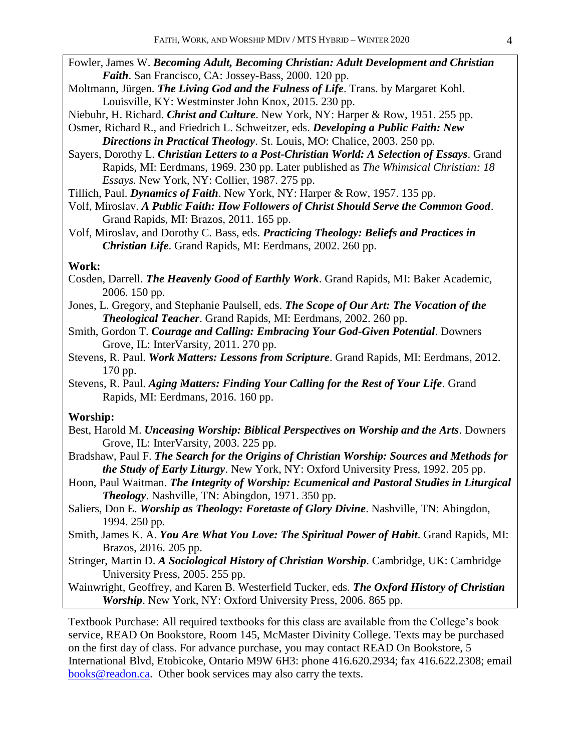- Fowler, James W. *Becoming Adult, Becoming Christian: Adult Development and Christian Faith*. San Francisco, CA: Jossey-Bass, 2000. 120 pp.
- Moltmann, Jürgen. *The Living God and the Fulness of Life*. Trans. by Margaret Kohl. Louisville, KY: Westminster John Knox, 2015. 230 pp.
- Niebuhr, H. Richard. *Christ and Culture*. New York, NY: Harper & Row, 1951. 255 pp.
- Osmer, Richard R., and Friedrich L. Schweitzer, eds. *Developing a Public Faith: New Directions in Practical Theology*. St. Louis, MO: Chalice, 2003. 250 pp.
- Sayers, Dorothy L. *Christian Letters to a Post-Christian World: A Selection of Essays*. Grand Rapids, MI: Eerdmans, 1969. 230 pp. Later published as *The Whimsical Christian: 18 Essays.* New York, NY: Collier, 1987. 275 pp.
- Tillich, Paul. *Dynamics of Faith*. New York, NY: Harper & Row, 1957. 135 pp.
- Volf, Miroslav. *A Public Faith: How Followers of Christ Should Serve the Common Good*. Grand Rapids, MI: Brazos, 2011. 165 pp.
- Volf, Miroslav, and Dorothy C. Bass, eds. *Practicing Theology: Beliefs and Practices in Christian Life*. Grand Rapids, MI: Eerdmans, 2002. 260 pp.

### **Work:**

- Cosden, Darrell. *The Heavenly Good of Earthly Work*. Grand Rapids, MI: Baker Academic, 2006. 150 pp.
- Jones, L. Gregory, and Stephanie Paulsell, eds. *The Scope of Our Art: The Vocation of the Theological Teacher*. Grand Rapids, MI: Eerdmans, 2002. 260 pp.
- Smith, Gordon T. *Courage and Calling: Embracing Your God-Given Potential*. Downers Grove, IL: InterVarsity, 2011. 270 pp.
- Stevens, R. Paul. *Work Matters: Lessons from Scripture*. Grand Rapids, MI: Eerdmans, 2012. 170 pp.
- Stevens, R. Paul. *Aging Matters: Finding Your Calling for the Rest of Your Life*. Grand Rapids, MI: Eerdmans, 2016. 160 pp.

#### **Worship:**

- Best, Harold M. *Unceasing Worship: Biblical Perspectives on Worship and the Arts*. Downers Grove, IL: InterVarsity, 2003. 225 pp.
- Bradshaw, Paul F. *The Search for the Origins of Christian Worship: Sources and Methods for the Study of Early Liturgy*. New York, NY: Oxford University Press, 1992. 205 pp.
- Hoon, Paul Waitman. *The Integrity of Worship: Ecumenical and Pastoral Studies in Liturgical Theology*. Nashville, TN: Abingdon, 1971. 350 pp.
- Saliers, Don E. *Worship as Theology: Foretaste of Glory Divine*. Nashville, TN: Abingdon, 1994. 250 pp.
- Smith, James K. A. *You Are What You Love: The Spiritual Power of Habit*. Grand Rapids, MI: Brazos, 2016. 205 pp.
- Stringer, Martin D. *A Sociological History of Christian Worship*. Cambridge, UK: Cambridge University Press, 2005. 255 pp.
- Wainwright, Geoffrey, and Karen B. Westerfield Tucker, eds. *The Oxford History of Christian Worship*. New York, NY: Oxford University Press, 2006. 865 pp.

Textbook Purchase: All required textbooks for this class are available from the College's book service, READ On Bookstore, Room 145, McMaster Divinity College. Texts may be purchased on the first day of class. For advance purchase, you may contact READ On Bookstore, 5 International Blvd, Etobicoke, Ontario M9W 6H3: phone 416.620.2934; fax 416.622.2308; email [books@readon.ca.](mailto:books@readon.ca) Other book services may also carry the texts.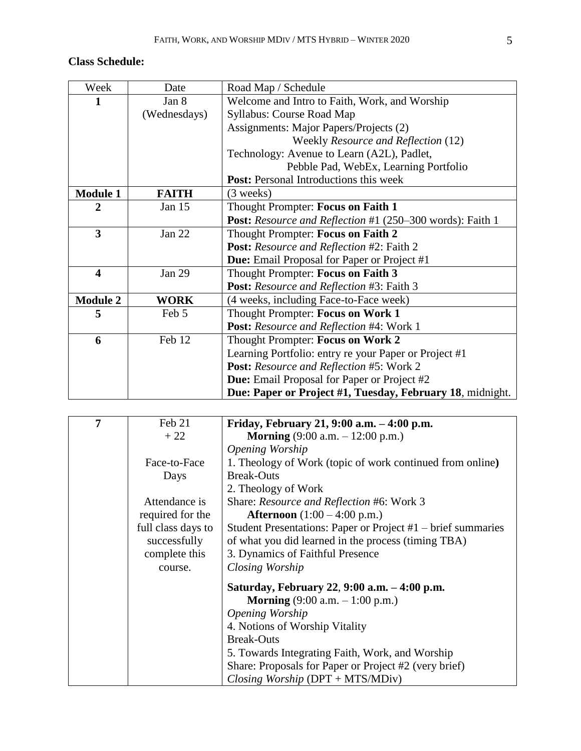# **Class Schedule:**

| Week                    | Date         | Road Map / Schedule                                       |
|-------------------------|--------------|-----------------------------------------------------------|
| 1                       | Jan 8        | Welcome and Intro to Faith, Work, and Worship             |
|                         | (Wednesdays) | <b>Syllabus: Course Road Map</b>                          |
|                         |              | Assignments: Major Papers/Projects (2)                    |
|                         |              | Weekly Resource and Reflection (12)                       |
|                         |              | Technology: Avenue to Learn (A2L), Padlet,                |
|                         |              | Pebble Pad, WebEx, Learning Portfolio                     |
|                         |              | <b>Post:</b> Personal Introductions this week             |
| <b>Module 1</b>         | <b>FAITH</b> | $(3$ weeks)                                               |
| 2                       | Jan 15       | Thought Prompter: Focus on Faith 1                        |
|                         |              | Post: Resource and Reflection #1 (250–300 words): Faith 1 |
| $\overline{\mathbf{3}}$ | Jan $22$     | Thought Prompter: Focus on Faith 2                        |
|                         |              | <b>Post:</b> Resource and Reflection #2: Faith 2          |
|                         |              | Due: Email Proposal for Paper or Project #1               |
| $\overline{\mathbf{4}}$ | Jan 29       | Thought Prompter: Focus on Faith 3                        |
|                         |              | Post: Resource and Reflection #3: Faith 3                 |
| <b>Module 2</b>         | <b>WORK</b>  | (4 weeks, including Face-to-Face week)                    |
| 5                       | Feb 5        | Thought Prompter: Focus on Work 1                         |
|                         |              | <b>Post:</b> Resource and Reflection #4: Work 1           |
| 6                       | Feb 12       | Thought Prompter: Focus on Work 2                         |
|                         |              | Learning Portfolio: entry re your Paper or Project #1     |
|                         |              | <b>Post:</b> Resource and Reflection #5: Work 2           |
|                         |              | Due: Email Proposal for Paper or Project #2               |
|                         |              | Due: Paper or Project #1, Tuesday, February 18, midnight. |

| 7 | Feb 21             | Friday, February 21, 9:00 a.m. – 4:00 p.m.                   |
|---|--------------------|--------------------------------------------------------------|
|   | $+22$              | <b>Morning</b> $(9:00 a.m. - 12:00 p.m.)$                    |
|   |                    | <i><b>Opening Worship</b></i>                                |
|   | Face-to-Face       | 1. Theology of Work (topic of work continued from online)    |
|   | Days               | <b>Break-Outs</b>                                            |
|   |                    | 2. Theology of Work                                          |
|   | Attendance is      | Share: Resource and Reflection #6: Work 3                    |
|   | required for the   | <b>Afternoon</b> $(1:00 - 4:00 \text{ p.m.})$                |
|   | full class days to | Student Presentations: Paper or Project #1 – brief summaries |
|   | successfully       | of what you did learned in the process (timing TBA)          |
|   | complete this      | 3. Dynamics of Faithful Presence                             |
|   | course.            | Closing Worship                                              |
|   |                    | Saturday, February 22, 9:00 a.m. - 4:00 p.m.                 |
|   |                    | <b>Morning</b> $(9:00 a.m. - 1:00 p.m.)$                     |
|   |                    | <i><b>Opening Worship</b></i>                                |
|   |                    | 4. Notions of Worship Vitality                               |
|   |                    | <b>Break-Outs</b>                                            |
|   |                    | 5. Towards Integrating Faith, Work, and Worship              |
|   |                    | Share: Proposals for Paper or Project #2 (very brief)        |
|   |                    | Closing Worship $(DPT + MTS/MDiv)$                           |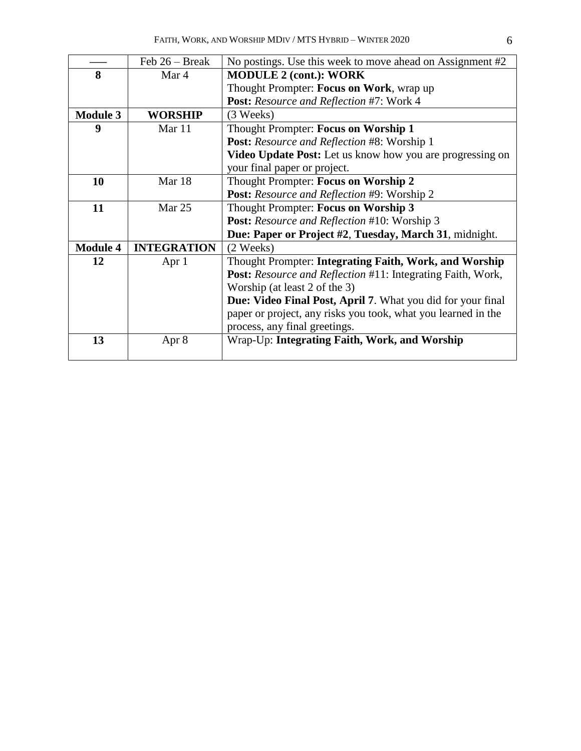|                 | Feb $26 - Break$   | No postings. Use this week to move ahead on Assignment #2     |
|-----------------|--------------------|---------------------------------------------------------------|
| 8               | Mar 4              | <b>MODULE 2 (cont.): WORK</b>                                 |
|                 |                    | Thought Prompter: Focus on Work, wrap up                      |
|                 |                    | Post: Resource and Reflection #7: Work 4                      |
| <b>Module 3</b> | <b>WORSHIP</b>     | (3 Weeks)                                                     |
| 9               | Mar 11             | Thought Prompter: Focus on Worship 1                          |
|                 |                    | <b>Post:</b> Resource and Reflection #8: Worship 1            |
|                 |                    | Video Update Post: Let us know how you are progressing on     |
|                 |                    | your final paper or project.                                  |
| 10              | Mar 18             | Thought Prompter: Focus on Worship 2                          |
|                 |                    | <b>Post:</b> Resource and Reflection #9: Worship 2            |
| 11              | Mar 25             | Thought Prompter: Focus on Worship 3                          |
|                 |                    | Post: Resource and Reflection #10: Worship 3                  |
|                 |                    | Due: Paper or Project #2, Tuesday, March 31, midnight.        |
| <b>Module 4</b> | <b>INTEGRATION</b> | (2 Weeks)                                                     |
| 12              | Apr 1              | Thought Prompter: Integrating Faith, Work, and Worship        |
|                 |                    | Post: Resource and Reflection #11: Integrating Faith, Work,   |
|                 |                    | Worship (at least 2 of the 3)                                 |
|                 |                    | Due: Video Final Post, April 7. What you did for your final   |
|                 |                    | paper or project, any risks you took, what you learned in the |
|                 |                    | process, any final greetings.                                 |
| 13              | Apr 8              | Wrap-Up: Integrating Faith, Work, and Worship                 |
|                 |                    |                                                               |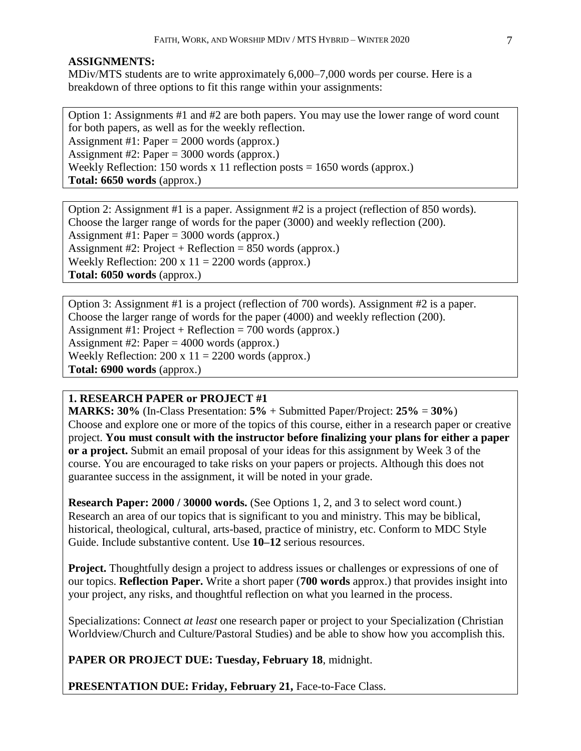### **ASSIGNMENTS:**

MDiv/MTS students are to write approximately 6,000–7,000 words per course. Here is a breakdown of three options to fit this range within your assignments:

Option 1: Assignments #1 and #2 are both papers. You may use the lower range of word count for both papers, as well as for the weekly reflection. Assignment #1: Paper = 2000 words (approx.) Assignment #2: Paper = 3000 words (approx.) Weekly Reflection: 150 words x 11 reflection posts  $= 1650$  words (approx.) **Total: 6650 words** (approx.)

Option 2: Assignment #1 is a paper. Assignment #2 is a project (reflection of 850 words). Choose the larger range of words for the paper (3000) and weekly reflection (200). Assignment #1: Paper =  $3000$  words (approx.) Assignment #2: Project + Reflection = 850 words (approx.) Weekly Reflection:  $200 \times 11 = 2200$  words (approx.) **Total: 6050 words** (approx.)

Option 3: Assignment #1 is a project (reflection of 700 words). Assignment #2 is a paper. Choose the larger range of words for the paper (4000) and weekly reflection (200). Assignment #1: Project + Reflection = 700 words (approx.) Assignment #2: Paper = 4000 words (approx.) Weekly Reflection:  $200 \times 11 = 2200$  words (approx.) **Total: 6900 words** (approx.)

# **1. RESEARCH PAPER or PROJECT #1**

**MARKS: 30%** (In-Class Presentation: **5%** + Submitted Paper/Project: **25%** = **30%**) Choose and explore one or more of the topics of this course, either in a research paper or creative project. **You must consult with the instructor before finalizing your plans for either a paper or a project.** Submit an email proposal of your ideas for this assignment by Week 3 of the course. You are encouraged to take risks on your papers or projects. Although this does not guarantee success in the assignment, it will be noted in your grade.

**Research Paper: 2000 / 30000 words.** (See Options 1, 2, and 3 to select word count.) Research an area of our topics that is significant to you and ministry. This may be biblical, historical, theological, cultural, arts-based, practice of ministry, etc. Conform to MDC Style Guide. Include substantive content. Use **10–12** serious resources.

**Project.** Thoughtfully design a project to address issues or challenges or expressions of one of our topics. **Reflection Paper.** Write a short paper (**700 words** approx.) that provides insight into your project, any risks, and thoughtful reflection on what you learned in the process.

Specializations: Connect *at least* one research paper or project to your Specialization (Christian Worldview/Church and Culture/Pastoral Studies) and be able to show how you accomplish this.

**PAPER OR PROJECT DUE: Tuesday, February 18**, midnight.

**PRESENTATION DUE: Friday, February 21, Face-to-Face Class.**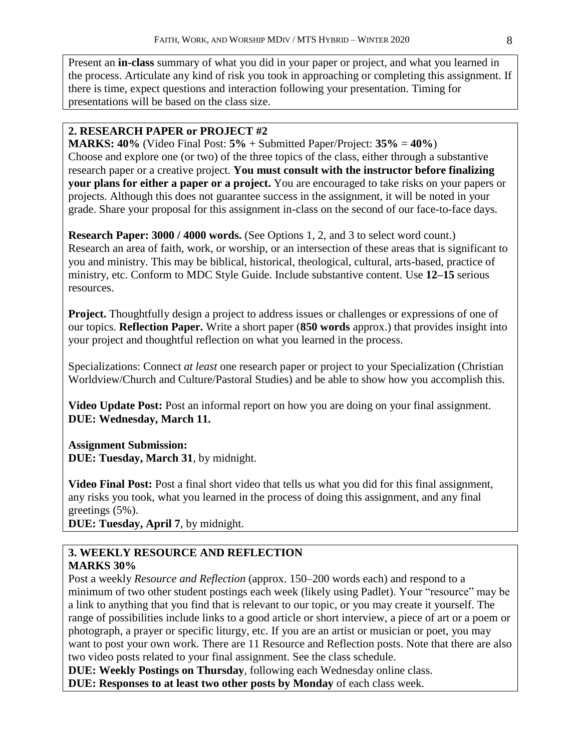Present an **in-class** summary of what you did in your paper or project, and what you learned in the process. Articulate any kind of risk you took in approaching or completing this assignment. If there is time, expect questions and interaction following your presentation. Timing for presentations will be based on the class size.

# **2. RESEARCH PAPER or PROJECT #2**

**MARKS: 40%** (Video Final Post: **5%** + Submitted Paper/Project: **35%** = **40%**) Choose and explore one (or two) of the three topics of the class, either through a substantive research paper or a creative project. **You must consult with the instructor before finalizing your plans for either a paper or a project.** You are encouraged to take risks on your papers or projects. Although this does not guarantee success in the assignment, it will be noted in your grade. Share your proposal for this assignment in-class on the second of our face-to-face days.

**Research Paper: 3000 / 4000 words.** (See Options 1, 2, and 3 to select word count.) Research an area of faith, work, or worship, or an intersection of these areas that is significant to you and ministry. This may be biblical, historical, theological, cultural, arts-based, practice of ministry, etc. Conform to MDC Style Guide. Include substantive content. Use **12–15** serious resources.

**Project.** Thoughtfully design a project to address issues or challenges or expressions of one of our topics. **Reflection Paper.** Write a short paper (**850 words** approx.) that provides insight into your project and thoughtful reflection on what you learned in the process.

Specializations: Connect *at least* one research paper or project to your Specialization (Christian Worldview/Church and Culture/Pastoral Studies) and be able to show how you accomplish this.

**Video Update Post:** Post an informal report on how you are doing on your final assignment. **DUE: Wednesday, March 11.** 

# **Assignment Submission:**

**DUE: Tuesday, March 31**, by midnight.

**Video Final Post:** Post a final short video that tells us what you did for this final assignment, any risks you took, what you learned in the process of doing this assignment, and any final greetings (5%).

**DUE: Tuesday, April 7**, by midnight.

# **3. WEEKLY RESOURCE AND REFLECTION MARKS 30%**

Post a weekly *Resource and Reflection* (approx. 150–200 words each) and respond to a minimum of two other student postings each week (likely using Padlet). Your "resource" may be a link to anything that you find that is relevant to our topic, or you may create it yourself. The range of possibilities include links to a good article or short interview, a piece of art or a poem or photograph, a prayer or specific liturgy, etc. If you are an artist or musician or poet, you may want to post your own work. There are 11 Resource and Reflection posts. Note that there are also two video posts related to your final assignment. See the class schedule.

**DUE: Weekly Postings on Thursday**, following each Wednesday online class. **DUE: Responses to at least two other posts by Monday** of each class week.